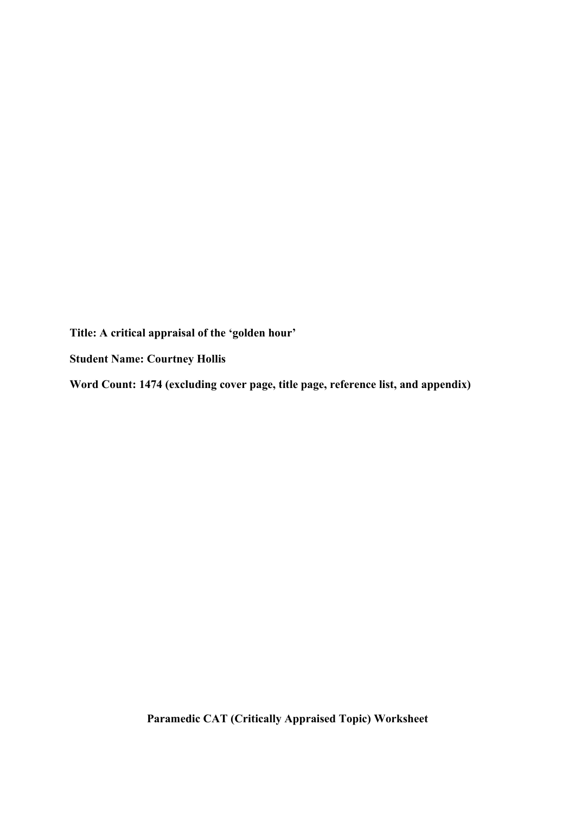**Title: A critical appraisal of the 'golden hour'**

**Student Name: Courtney Hollis**

**Word Count: 1474 (excluding cover page, title page, reference list, and appendix)**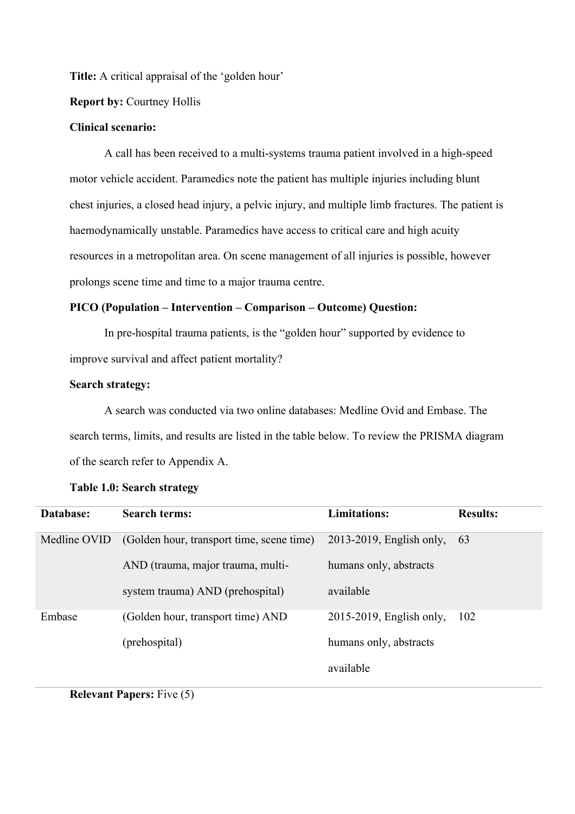**Title:** A critical appraisal of the 'golden hour'

# **Report by:** Courtney Hollis

## **Clinical scenario:**

A call has been received to a multi-systems trauma patient involved in a high-speed motor vehicle accident. Paramedics note the patient has multiple injuries including blunt chest injuries, a closed head injury, a pelvic injury, and multiple limb fractures. The patient is haemodynamically unstable. Paramedics have access to critical care and high acuity resources in a metropolitan area. On scene management of all injuries is possible, however prolongs scene time and time to a major trauma centre.

# **PICO (Population – Intervention – Comparison – Outcome) Question:**

In pre-hospital trauma patients, is the "golden hour" supported by evidence to improve survival and affect patient mortality?

## **Search strategy:**

A search was conducted via two online databases: Medline Ovid and Embase. The search terms, limits, and results are listed in the table below. To review the PRISMA diagram of the search refer to Appendix A.

| Database:    | <b>Search terms:</b>                      | <b>Limitations:</b>         | <b>Results:</b> |
|--------------|-------------------------------------------|-----------------------------|-----------------|
| Medline OVID | (Golden hour, transport time, scene time) | $2013-2019$ , English only, | 63              |
|              | AND (trauma, major trauma, multi-         | humans only, abstracts      |                 |
|              | system trauma) AND (prehospital)          | available                   |                 |
| Embase       | (Golden hour, transport time) AND         | 2015-2019, English only,    | 102             |
|              | (prehospital)                             | humans only, abstracts      |                 |
|              |                                           | available                   |                 |

## **Table 1.0: Search strategy**

**Relevant Papers:** Five (5)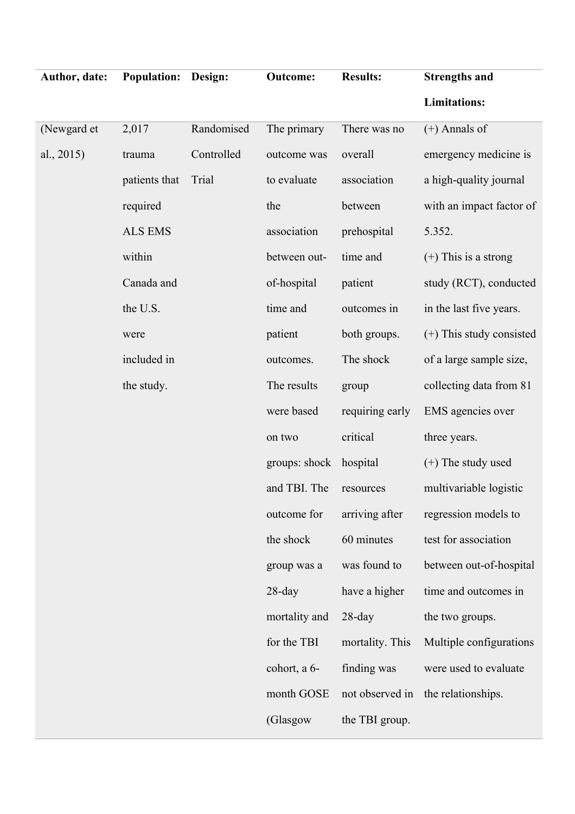| Author, date: | <b>Population:</b> | Design:    | <b>Outcome:</b> | <b>Results:</b> | <b>Strengths and</b>       |
|---------------|--------------------|------------|-----------------|-----------------|----------------------------|
|               |                    |            |                 |                 | <b>Limitations:</b>        |
| (Newgard et   | 2,017              | Randomised | The primary     | There was no    | $(+)$ Annals of            |
| al., $2015$ ) | trauma             | Controlled | outcome was     | overall         | emergency medicine is      |
|               | patients that      | Trial      | to evaluate     | association     | a high-quality journal     |
|               | required           |            | the             | between         | with an impact factor of   |
|               | <b>ALS EMS</b>     |            | association     | prehospital     | 5.352.                     |
|               | within             |            | between out-    | time and        | $(+)$ This is a strong     |
|               | Canada and         |            | of-hospital     | patient         | study (RCT), conducted     |
|               | the U.S.           |            | time and        | outcomes in     | in the last five years.    |
|               | were               |            | patient         | both groups.    | $(+)$ This study consisted |
|               | included in        |            | outcomes.       | The shock       | of a large sample size,    |
|               | the study.         |            | The results     | group           | collecting data from 81    |
|               |                    |            | were based      | requiring early | EMS agencies over          |
|               |                    |            | on two          | critical        | three years.               |
|               |                    |            | groups: shock   | hospital        | $(+)$ The study used       |
|               |                    |            | and TBI. The    | resources       | multivariable logistic     |
|               |                    |            | outcome for     | arriving after  | regression models to       |
|               |                    |            | the shock       | 60 minutes      | test for association       |
|               |                    |            | group was a     | was found to    | between out-of-hospital    |
|               |                    |            | $28$ -day       | have a higher   | time and outcomes in       |
|               |                    |            | mortality and   | $28$ -day       | the two groups.            |
|               |                    |            | for the TBI     | mortality. This | Multiple configurations    |
|               |                    |            | cohort, a 6-    | finding was     | were used to evaluate      |
|               |                    |            | month GOSE      | not observed in | the relationships.         |
|               |                    |            | (Glasgow        | the TBI group.  |                            |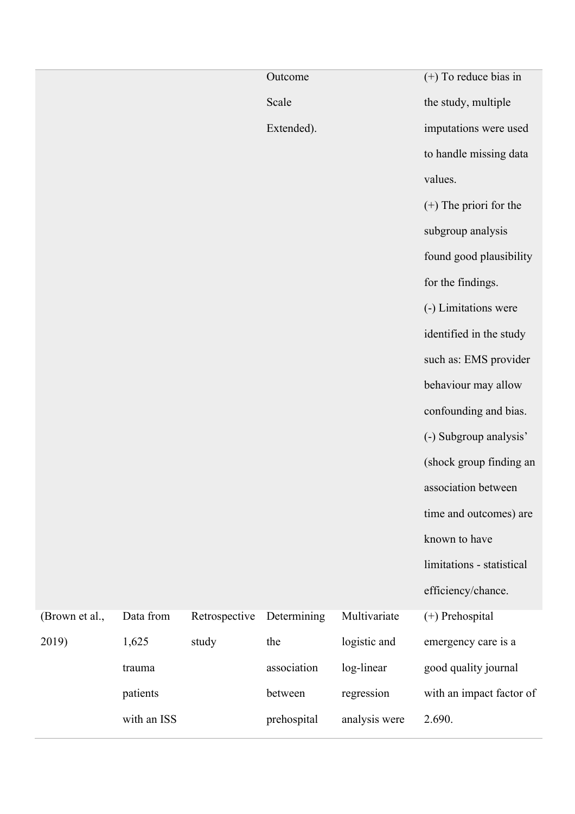|                |             |               | Outcome     |               | $(+)$ To reduce bias in   |
|----------------|-------------|---------------|-------------|---------------|---------------------------|
|                |             |               | Scale       |               | the study, multiple       |
|                |             |               | Extended).  |               | imputations were used     |
|                |             |               |             |               | to handle missing data    |
|                |             |               |             |               | values.                   |
|                |             |               |             |               | $(+)$ The priori for the  |
|                |             |               |             |               | subgroup analysis         |
|                |             |               |             |               | found good plausibility   |
|                |             |               |             |               | for the findings.         |
|                |             |               |             |               | (-) Limitations were      |
|                |             |               |             |               | identified in the study   |
|                |             |               |             |               | such as: EMS provider     |
|                |             |               |             |               | behaviour may allow       |
|                |             |               |             |               | confounding and bias.     |
|                |             |               |             |               | (-) Subgroup analysis'    |
|                |             |               |             |               | (shock group finding an   |
|                |             |               |             |               | association between       |
|                |             |               |             |               | time and outcomes) are    |
|                |             |               |             |               | known to have             |
|                |             |               |             |               | limitations - statistical |
|                |             |               |             |               | efficiency/chance.        |
| (Brown et al., | Data from   | Retrospective | Determining | Multivariate  | (+) Prehospital           |
| 2019)          | 1,625       | study         | the         | logistic and  | emergency care is a       |
|                | trauma      |               | association | log-linear    | good quality journal      |
|                | patients    |               | between     | regression    | with an impact factor of  |
|                | with an ISS |               | prehospital | analysis were | 2.690.                    |
|                |             |               |             |               |                           |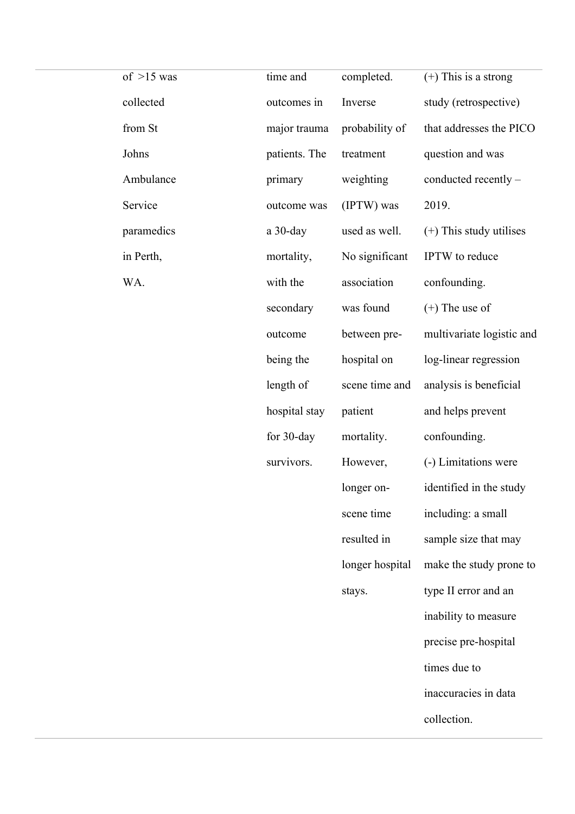| of $>15$ was | time and      | completed.      | $(+)$ This is a strong    |
|--------------|---------------|-----------------|---------------------------|
| collected    | outcomes in   | Inverse         | study (retrospective)     |
| from St      | major trauma  | probability of  | that addresses the PICO   |
| Johns        | patients. The | treatment       | question and was          |
| Ambulance    | primary       | weighting       | conducted recently -      |
| Service      | outcome was   | (IPTW) was      | 2019.                     |
| paramedics   | $a$ 30-day    | used as well.   | $(+)$ This study utilises |
| in Perth,    | mortality,    | No significant  | IPTW to reduce            |
| WA.          | with the      | association     | confounding.              |
|              | secondary     | was found       | $(+)$ The use of          |
|              | outcome       | between pre-    | multivariate logistic and |
|              | being the     | hospital on     | log-linear regression     |
|              | length of     | scene time and  | analysis is beneficial    |
|              | hospital stay | patient         | and helps prevent         |
|              | for 30-day    | mortality.      | confounding.              |
|              | survivors.    | However,        | (-) Limitations were      |
|              |               | longer on-      | identified in the study   |
|              |               | scene time      | including: a small        |
|              |               | resulted in     | sample size that may      |
|              |               | longer hospital | make the study prone to   |
|              |               | stays.          | type II error and an      |
|              |               |                 | inability to measure      |
|              |               |                 | precise pre-hospital      |
|              |               |                 | times due to              |
|              |               |                 | inaccuracies in data      |
|              |               |                 |                           |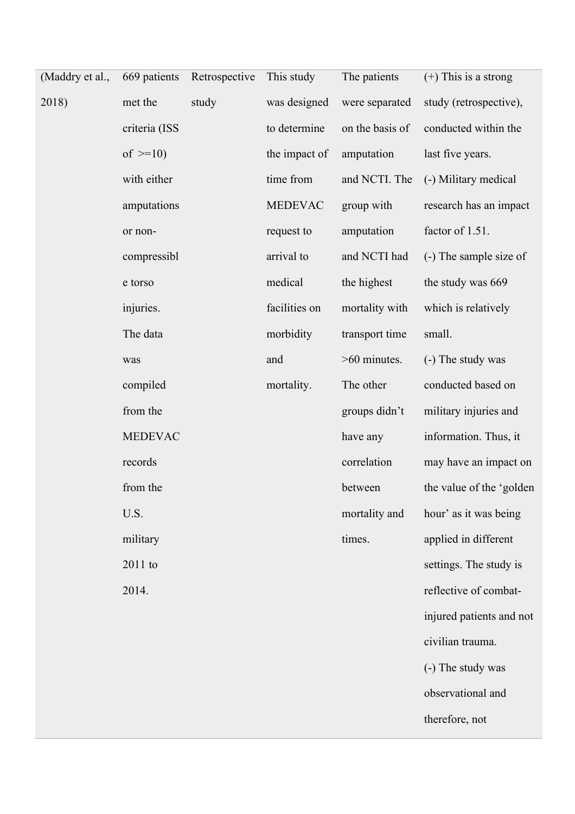| (Maddry et al., | 669 patients   | Retrospective | This study     | The patients    | $(+)$ This is a strong   |
|-----------------|----------------|---------------|----------------|-----------------|--------------------------|
| 2018)           | met the        | study         | was designed   | were separated  | study (retrospective),   |
|                 | criteria (ISS  |               | to determine   | on the basis of | conducted within the     |
|                 | of $>=10$ )    |               | the impact of  | amputation      | last five years.         |
|                 | with either    |               | time from      | and NCTI. The   | (-) Military medical     |
|                 | amputations    |               | <b>MEDEVAC</b> | group with      | research has an impact   |
|                 | or non-        |               | request to     | amputation      | factor of 1.51.          |
|                 | compressibl    |               | arrival to     | and NCTI had    | (-) The sample size of   |
|                 | e torso        |               | medical        | the highest     | the study was 669        |
|                 | injuries.      |               | facilities on  | mortality with  | which is relatively      |
|                 | The data       |               | morbidity      | transport time  | small.                   |
|                 | was            |               | and            | >60 minutes.    | (-) The study was        |
|                 | compiled       |               | mortality.     | The other       | conducted based on       |
|                 | from the       |               |                | groups didn't   | military injuries and    |
|                 | <b>MEDEVAC</b> |               |                | have any        | information. Thus, it    |
|                 | records        |               |                | correlation     | may have an impact on    |
|                 | from the       |               |                | between         | the value of the 'golden |
|                 | U.S.           |               |                | mortality and   | hour' as it was being    |
|                 | military       |               |                | times.          | applied in different     |
|                 | 2011 to        |               |                |                 | settings. The study is   |
|                 | 2014.          |               |                |                 | reflective of combat-    |
|                 |                |               |                |                 | injured patients and not |
|                 |                |               |                |                 | civilian trauma.         |
|                 |                |               |                |                 | (-) The study was        |
|                 |                |               |                |                 | observational and        |
|                 |                |               |                |                 | therefore, not           |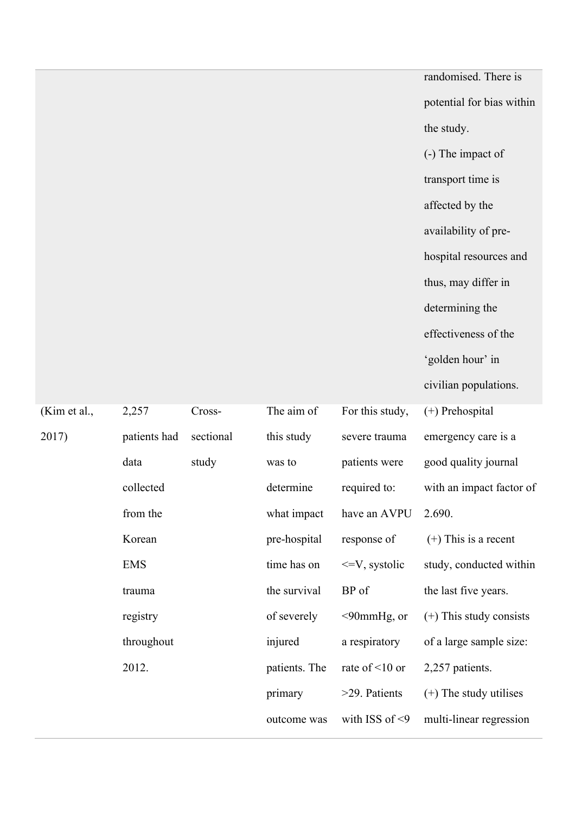randomised. There is potential for bias within the study. (-) The impact of transport time is affected by the availability of prehospital resources and thus, may differ in determining the effectiveness of the 'golden hour' in civilian populations. For this study, severe trauma patients were (+) Prehospital emergency care is a good quality journal with an impact factor of 2.690. (+) This is a recent study, conducted within

from the Korean what impact pre-hospital time has on the survival of severely injured patients. The primary outcome was have an AVPU response of <=V, systolic BP of <90mmHg, or a respiratory rate of <10 or >29. Patients with ISS of <9 the last five years. (+) This study consists of a large sample size: 2,257 patients. (+) The study utilises multi-linear regression

required to:

(Kim et al.,

2017)

EMS trauma

2,257

data

collected

patients had

Cross-

study

sectional

The aim of

this study

determine

was to

registry

throughout

2012.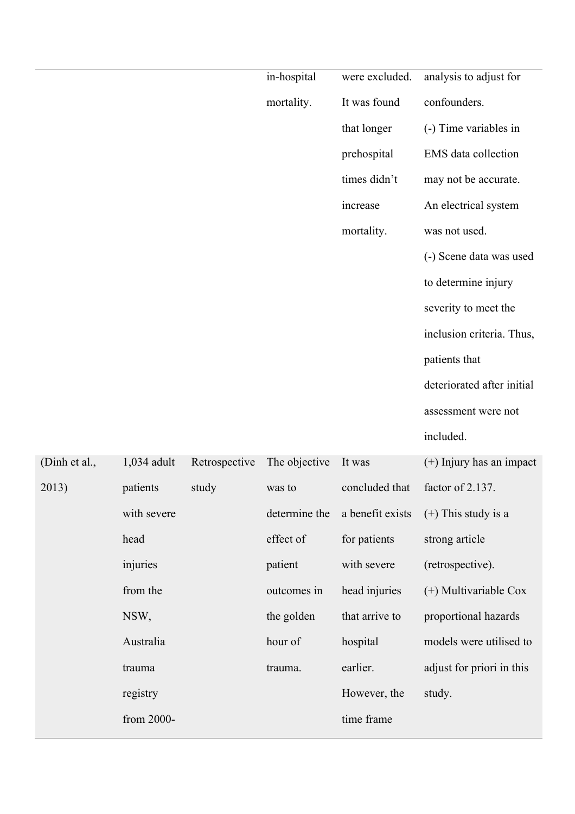|               |               |               | in-hospital   | were excluded.   | analysis to adjust for     |
|---------------|---------------|---------------|---------------|------------------|----------------------------|
|               |               |               | mortality.    | It was found     | confounders.               |
|               |               |               |               | that longer      | (-) Time variables in      |
|               |               |               |               | prehospital      | EMS data collection        |
|               |               |               |               | times didn't     | may not be accurate.       |
|               |               |               |               | increase         | An electrical system       |
|               |               |               |               | mortality.       | was not used.              |
|               |               |               |               |                  | (-) Scene data was used    |
|               |               |               |               |                  | to determine injury        |
|               |               |               |               |                  | severity to meet the       |
|               |               |               |               |                  | inclusion criteria. Thus,  |
|               |               |               |               |                  | patients that              |
|               |               |               |               |                  | deteriorated after initial |
|               |               |               |               |                  | assessment were not        |
|               |               |               |               |                  | included.                  |
| (Dinh et al., | $1,034$ adult | Retrospective | The objective | It was           | $(+)$ Injury has an impact |
| 2013)         | patients      | study         | was to        | concluded that   | factor of 2.137.           |
|               | with severe   |               | determine the | a benefit exists | $(+)$ This study is a      |
|               | head          |               | effect of     | for patients     | strong article             |
|               | injuries      |               | patient       | with severe      | (retrospective).           |
|               | from the      |               | outcomes in   | head injuries    | (+) Multivariable Cox      |
|               | NSW,          |               | the golden    | that arrive to   | proportional hazards       |
|               | Australia     |               | hour of       | hospital         | models were utilised to    |
|               | trauma        |               | trauma.       | earlier.         | adjust for priori in this  |
|               | registry      |               |               | However, the     | study.                     |

time frame

from 2000-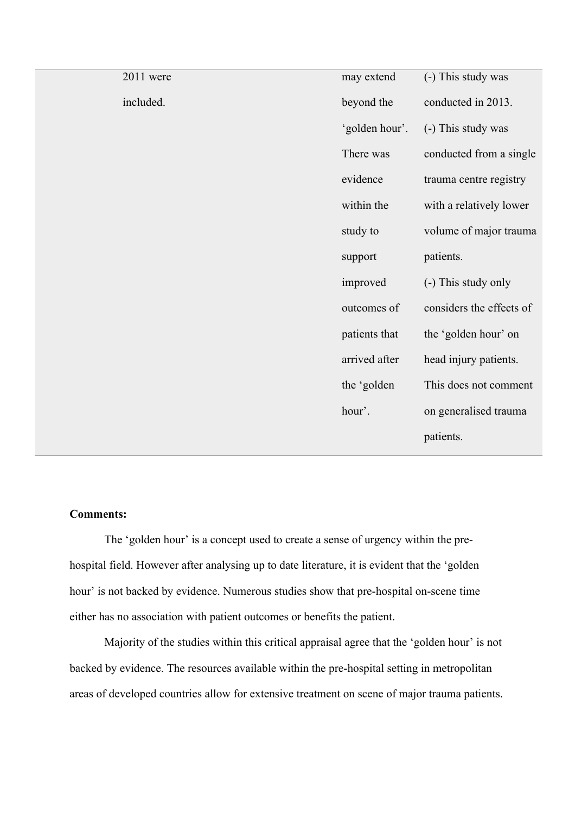| 2011 were | may extend     | (-) This study was       |
|-----------|----------------|--------------------------|
| included. | beyond the     | conducted in 2013.       |
|           | 'golden hour'. | (-) This study was       |
|           | There was      | conducted from a single  |
|           | evidence       | trauma centre registry   |
|           | within the     | with a relatively lower  |
|           | study to       | volume of major trauma   |
|           | support        | patients.                |
|           | improved       | (-) This study only      |
|           | outcomes of    | considers the effects of |
|           | patients that  | the 'golden hour' on     |
|           | arrived after  | head injury patients.    |
|           | the 'golden    | This does not comment    |
|           | hour'.         | on generalised trauma    |
|           |                | patients.                |
|           |                |                          |

# **Comments:**

The 'golden hour' is a concept used to create a sense of urgency within the prehospital field. However after analysing up to date literature, it is evident that the 'golden hour' is not backed by evidence. Numerous studies show that pre-hospital on-scene time either has no association with patient outcomes or benefits the patient.

Majority of the studies within this critical appraisal agree that the 'golden hour' is not backed by evidence. The resources available within the pre-hospital setting in metropolitan areas of developed countries allow for extensive treatment on scene of major trauma patients.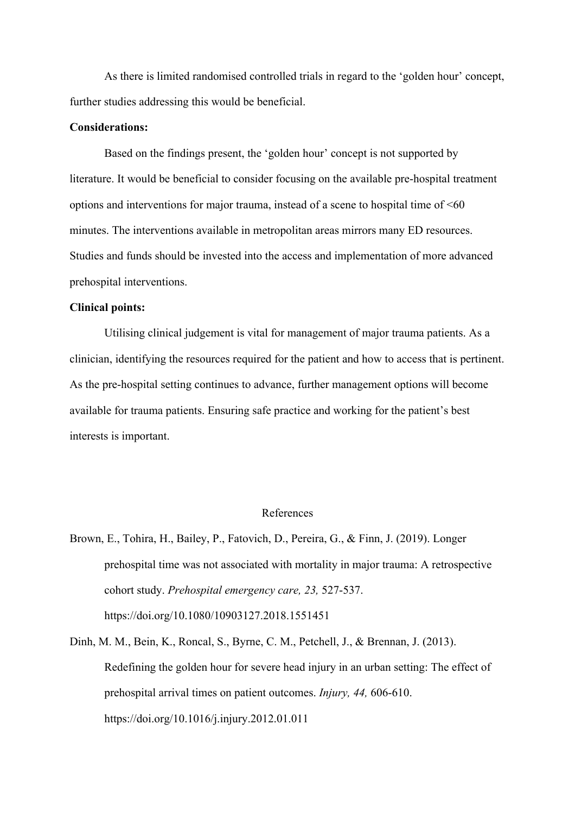As there is limited randomised controlled trials in regard to the 'golden hour' concept, further studies addressing this would be beneficial.

#### **Considerations:**

Based on the findings present, the 'golden hour' concept is not supported by literature. It would be beneficial to consider focusing on the available pre-hospital treatment options and interventions for major trauma, instead of a scene to hospital time of  $<60$ minutes. The interventions available in metropolitan areas mirrors many ED resources. Studies and funds should be invested into the access and implementation of more advanced prehospital interventions.

#### **Clinical points:**

Utilising clinical judgement is vital for management of major trauma patients. As a clinician, identifying the resources required for the patient and how to access that is pertinent. As the pre-hospital setting continues to advance, further management options will become available for trauma patients. Ensuring safe practice and working for the patient's best interests is important.

#### References

- Brown, E., Tohira, H., Bailey, P., Fatovich, D., Pereira, G., & Finn, J. (2019). Longer prehospital time was not associated with mortality in major trauma: A retrospective cohort study. *Prehospital emergency care, 23,* 527-537. https://doi.org/10.1080/10903127.2018.1551451
- Dinh, M. M., Bein, K., Roncal, S., Byrne, C. M., Petchell, J., & Brennan, J. (2013). Redefining the golden hour for severe head injury in an urban setting: The effect of prehospital arrival times on patient outcomes. *Injury, 44,* 606-610. https://doi.org/10.1016/j.injury.2012.01.011